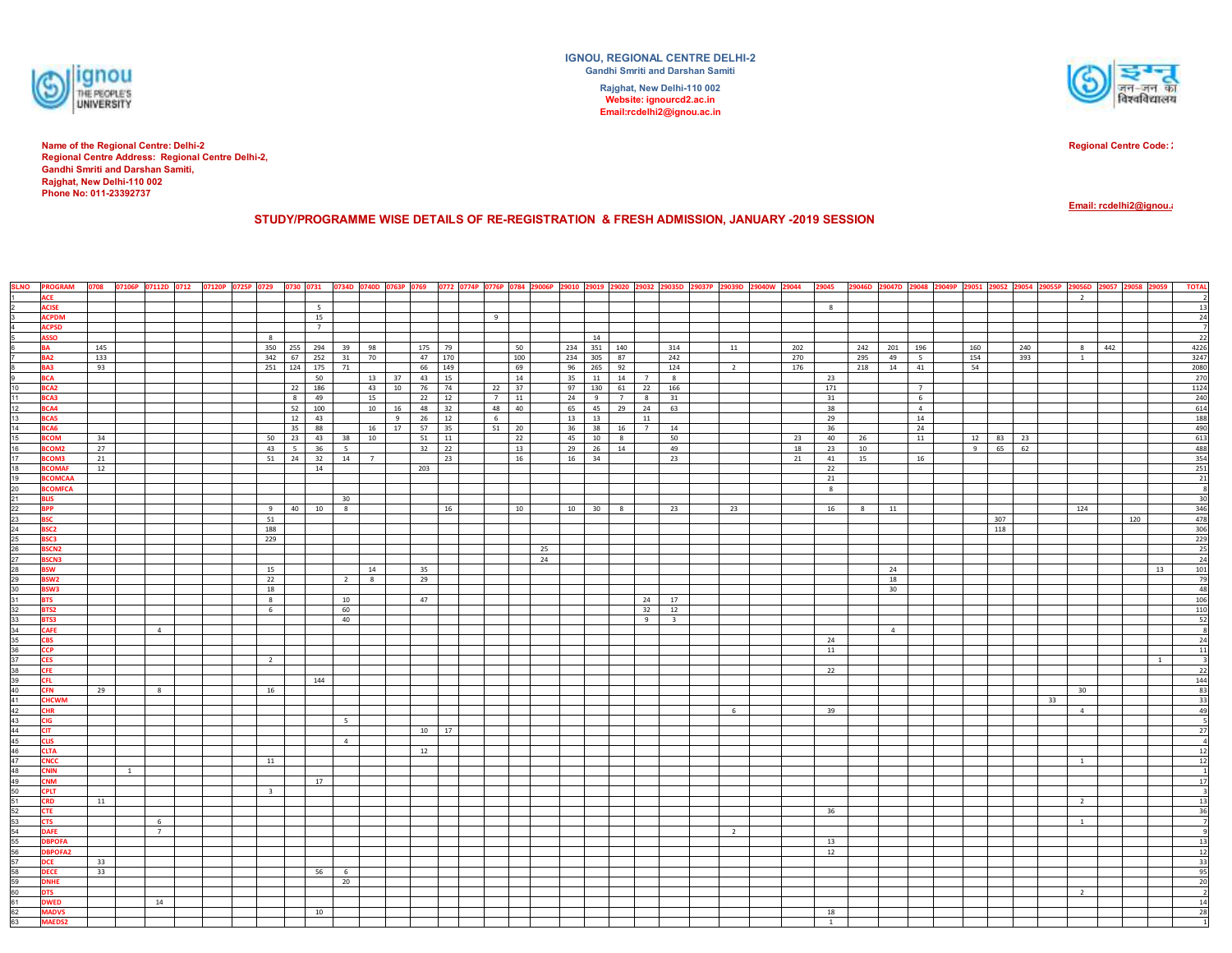

**Phone No: 011-23392737Name of the Regional Centre: Delhi-2 Regional Centre Address: Regional Centre Delhi-2, Gandhi Smriti and Darshan Samiti, Rajghat, New Delhi-110 002**

**IGNOU, REGIONAL CENTRE DELHI-2Gandhi Smriti and Darshan SamitiRajghat, New Delhi-110 002Website: ignourcd2.ac.in Email:rcdelhi2@ignou.ac.in**



**Regional Centre Code: 29**

**Email: rcdelhi2@ignou.ac.** 

**STUDY/PROGRAMME WISE DETAILS OF RE-REGISTRATION & FRESH ADMISSION, JANUARY -2019 SESSION** 

|                                                                                                                                                 | <b>SLNO</b> PROGRAM |     |                |                | 0708 07106P 07112D 0712 07120P 0725P 0729 |                      |                | 0730 0731 0734D 0740D 0763P 0769 0772 0774P 0776P 0784 29006P 29010 29019 29020 29032 29035D 29037P 29039D 29040W 29044 |           |    |       |     |    |        |             |              |    |                         |                |     | 29045        |     |          |                | 29046D 29047D 29048 29049P 29051 29052 29054 29055P 29056D 29057 29058 |     |    |                |     | 29059          | <b>TOTAL</b>                                 |
|-------------------------------------------------------------------------------------------------------------------------------------------------|---------------------|-----|----------------|----------------|-------------------------------------------|----------------------|----------------|-------------------------------------------------------------------------------------------------------------------------|-----------|----|-------|-----|----|--------|-------------|--------------|----|-------------------------|----------------|-----|--------------|-----|----------|----------------|------------------------------------------------------------------------|-----|----|----------------|-----|----------------|----------------------------------------------|
|                                                                                                                                                 | <b>ACE</b>          |     |                |                |                                           |                      |                |                                                                                                                         |           |    |       |     |    |        |             |              |    |                         |                |     |              |     |          |                |                                                                        |     |    | $\overline{2}$ |     |                |                                              |
|                                                                                                                                                 | <b>ACISE</b>        |     |                |                |                                           | 5 <sup>5</sup>       |                |                                                                                                                         |           |    |       |     |    |        |             |              |    |                         |                |     | 8            |     |          |                |                                                                        |     |    |                |     |                | 13                                           |
|                                                                                                                                                 | <b>ACPDM</b>        |     |                |                |                                           | 15                   |                |                                                                                                                         |           |    | 9     |     |    |        |             |              |    |                         |                |     |              |     |          |                |                                                                        |     |    |                |     |                | 24                                           |
|                                                                                                                                                 | <b>ACPSD</b>        |     |                |                |                                           | $7^{\circ}$          |                |                                                                                                                         |           |    |       |     |    |        |             |              |    |                         |                |     |              |     |          |                |                                                                        |     |    |                |     |                | $\overline{7}$                               |
|                                                                                                                                                 | <b>ASSO</b>         |     |                |                | 8                                         |                      |                |                                                                                                                         |           |    |       |     |    |        | 14          |              |    |                         |                |     |              |     |          |                |                                                                        |     |    |                |     |                | 22                                           |
|                                                                                                                                                 | <b>BA</b>           | 145 |                |                | 350                                       | 255 294              |                | 39 98                                                                                                                   | 175 79    |    |       | 50  |    |        | 234 351 140 |              |    | 314                     | 11             | 202 |              | 242 | 201 196  |                | 160                                                                    | 240 |    | 8              | 442 |                | 4226                                         |
|                                                                                                                                                 | BA <sub>2</sub>     | 133 |                |                | 342                                       | 67 252               |                | 31 70                                                                                                                   | 47 170    |    |       | 100 |    |        | 234 305 87  |              |    | 242                     |                | 270 |              | 295 | 49       | 5 <sup>5</sup> | 154                                                                    | 393 |    | 1              |     |                | 3247                                         |
|                                                                                                                                                 | BA3                 | 93  |                |                | 251                                       | 124 175              | 71             |                                                                                                                         | 66 149    |    |       | 69  |    |        | 96 265 92   |              |    | 124                     | $\overline{2}$ | 176 |              | 218 | 14       | 41             | 54                                                                     |     |    |                |     |                | 2080                                         |
|                                                                                                                                                 | <b>BCA</b>          |     |                |                |                                           | 50                   |                | 13 37 43 15                                                                                                             |           |    |       | 14  |    |        | 35 11       | 14 7         |    | 8 <sup>1</sup>          |                |     | 23           |     |          |                |                                                                        |     |    |                |     |                | 270                                          |
| 10                                                                                                                                              | BCA2                |     |                |                |                                           | 22 186               |                | 43 10 76 74                                                                                                             |           |    | 22 37 |     |    |        |             | 97 130 61 22 |    | 166                     |                |     | 171          |     |          | $7^{\circ}$    |                                                                        |     |    |                |     |                | 1124                                         |
| 11                                                                                                                                              | BCA3                |     |                |                |                                           | 49<br>8 <sup>1</sup> |                | 15                                                                                                                      | 22 12     |    | 7     | 11  |    | $24$ 9 |             | 7 8          |    | 31                      |                |     | 31           |     |          | 6              |                                                                        |     |    |                |     |                | 240                                          |
|                                                                                                                                                 | BCA4                |     |                |                |                                           | 52 100               |                | 10  16                                                                                                                  | 48 32     |    | 48 40 |     |    |        |             | 65 45 29 24  |    | 63                      |                |     | 38           |     |          | $\overline{4}$ |                                                                        |     |    |                |     |                | 614                                          |
| $\frac{12}{13}$                                                                                                                                 | <b>BCA5</b>         |     |                |                |                                           | 12<br>43             |                | 9                                                                                                                       | 26 12     |    | 6     |     |    | 13 13  |             |              | 11 |                         |                |     | 29           |     |          | 14             |                                                                        |     |    |                |     |                | 188                                          |
| 14                                                                                                                                              | BCA6                |     |                |                |                                           | 35<br>88             |                | 16 17                                                                                                                   | 57        | 35 | 51 20 |     |    |        | 36 38       | $16$ 7       |    | 14                      |                |     | 36           |     |          | 24             |                                                                        |     |    |                |     |                | 490                                          |
| 15                                                                                                                                              | <b>BCOM</b>         | 34  |                |                | 50                                        | 23<br>43             |                | 38 10                                                                                                                   | 51<br>11  |    |       | 22  |    |        | 45 10       | 8            |    | 50                      |                | 23  | 40           | 26  |          | 11             | 12 83                                                                  | 23  |    |                |     |                | 613                                          |
|                                                                                                                                                 | BCOM2               | 27  |                |                | 43                                        | $5-1$<br>36          | 5 <sup>7</sup> |                                                                                                                         | $32$ $22$ |    |       | 13  |    |        | 29 26 14    |              |    | 49                      |                | 18  | 23           | 10  |          |                | $9 \t 65$                                                              | 62  |    |                |     |                | 488                                          |
|                                                                                                                                                 | <b>BCOM3</b>        | 21  |                |                | 51                                        | 24 32                |                |                                                                                                                         |           | 23 |       | 16  |    | 16 34  |             |              |    | 23                      |                | 21  | 41           | 15  |          | 16             |                                                                        |     |    |                |     |                | 354                                          |
|                                                                                                                                                 | <b>BCOMAF</b>       |     |                |                |                                           |                      |                | 14 7                                                                                                                    |           |    |       |     |    |        |             |              |    |                         |                |     |              |     |          |                |                                                                        |     |    |                |     |                |                                              |
|                                                                                                                                                 | <b>BCOMCAA</b>      | 12  |                |                |                                           | 14                   |                |                                                                                                                         | 203       |    |       |     |    |        |             |              |    |                         |                |     | 22           |     |          |                |                                                                        |     |    |                |     |                | 251                                          |
|                                                                                                                                                 |                     |     |                |                |                                           |                      |                |                                                                                                                         |           |    |       |     |    |        |             |              |    |                         |                |     | 21           |     |          |                |                                                                        |     |    |                |     |                | $\begin{array}{c} 21 \\ 8 \end{array}$       |
|                                                                                                                                                 | <b>BCOMFCA</b>      |     |                |                |                                           |                      |                |                                                                                                                         |           |    |       |     |    |        |             |              |    |                         |                |     | 8            |     |          |                |                                                                        |     |    |                |     |                | 30                                           |
|                                                                                                                                                 | <b>BLIS</b>         |     |                |                |                                           |                      | 30             |                                                                                                                         |           |    |       |     |    |        |             |              |    |                         |                |     |              |     |          |                |                                                                        |     |    |                |     |                |                                              |
| <u>16 7 18 19 20 21 22 23 24 25 26 27 28 29 30 31 32 33 34 35 38 39 40 41 42 43 44 45 46 47 48 49 50 51 52 53 54 55 66 57 68 59 60 61 62 63</u> | <b>BPP</b>          |     |                |                | 9                                         | 40 10                | 8              |                                                                                                                         |           | 16 |       | 10  |    |        | 10 30 8     |              |    | 23                      | 23             |     | 16           | 8   | 11       |                |                                                                        |     |    | 124            |     |                | 346<br>478                                   |
|                                                                                                                                                 | <b>BSC</b>          |     |                |                | 51                                        |                      |                |                                                                                                                         |           |    |       |     |    |        |             |              |    |                         |                |     |              |     |          |                |                                                                        | 307 |    |                | 120 |                |                                              |
|                                                                                                                                                 | BSC <sub>2</sub>    |     |                |                | 188                                       |                      |                |                                                                                                                         |           |    |       |     |    |        |             |              |    |                         |                |     |              |     |          |                |                                                                        | 118 |    |                |     |                | 306                                          |
|                                                                                                                                                 | BSC3                |     |                |                | 229                                       |                      |                |                                                                                                                         |           |    |       |     |    |        |             |              |    |                         |                |     |              |     |          |                |                                                                        |     |    |                |     |                | 229                                          |
|                                                                                                                                                 | <b>BSCN2</b>        |     |                |                |                                           |                      |                |                                                                                                                         |           |    |       |     | 25 |        |             |              |    |                         |                |     |              |     |          |                |                                                                        |     |    |                |     |                | 25                                           |
|                                                                                                                                                 | <b>BSCN3</b>        |     |                |                |                                           |                      |                |                                                                                                                         |           |    |       |     | 24 |        |             |              |    |                         |                |     |              |     |          |                |                                                                        |     |    |                |     |                | 24                                           |
|                                                                                                                                                 | <b>BSW</b>          |     |                |                | 15                                        |                      |                | 14                                                                                                                      | 35        |    |       |     |    |        |             |              |    |                         |                |     |              |     | 24       |                |                                                                        |     |    |                |     | 13             | 101                                          |
|                                                                                                                                                 | BSW <sub>2</sub>    |     |                |                | 22                                        |                      |                | $2 \mid 8$                                                                                                              | 29        |    |       |     |    |        |             |              |    |                         |                |     |              |     | 18       |                |                                                                        |     |    |                |     |                | $\frac{79}{48}$                              |
|                                                                                                                                                 | BSW3                |     |                |                | 18                                        |                      |                |                                                                                                                         |           |    |       |     |    |        |             |              |    |                         |                |     |              |     | 30       |                |                                                                        |     |    |                |     |                |                                              |
|                                                                                                                                                 | <b>BTS</b>          |     |                |                | 8                                         |                      | 10             |                                                                                                                         | 47        |    |       |     |    |        |             |              | 24 | 17                      |                |     |              |     |          |                |                                                                        |     |    |                |     |                | 106                                          |
|                                                                                                                                                 | BTS2                |     |                |                | $6\overline{6}$                           |                      | 60             |                                                                                                                         |           |    |       |     |    |        |             |              | 32 | 12                      |                |     |              |     |          |                |                                                                        |     |    |                |     |                | 110                                          |
|                                                                                                                                                 | BTS3                |     |                |                |                                           |                      | 40             |                                                                                                                         |           |    |       |     |    |        |             |              | 9  | $\overline{\mathbf{3}}$ |                |     |              |     |          |                |                                                                        |     |    |                |     |                | $\frac{52}{8}$                               |
|                                                                                                                                                 | <b>CAFE</b>         |     |                | $\overline{4}$ |                                           |                      |                |                                                                                                                         |           |    |       |     |    |        |             |              |    |                         |                |     |              |     | $\sim$ 4 |                |                                                                        |     |    |                |     |                |                                              |
|                                                                                                                                                 | <b>CBS</b>          |     |                |                |                                           |                      |                |                                                                                                                         |           |    |       |     |    |        |             |              |    |                         |                |     | 24           |     |          |                |                                                                        |     |    |                |     |                | 24                                           |
|                                                                                                                                                 | <b>CCP</b>          |     |                |                |                                           |                      |                |                                                                                                                         |           |    |       |     |    |        |             |              |    |                         |                |     | 11           |     |          |                |                                                                        |     |    |                |     |                | 11                                           |
|                                                                                                                                                 | <b>CES</b>          |     |                |                | $\overline{2}$                            |                      |                |                                                                                                                         |           |    |       |     |    |        |             |              |    |                         |                |     |              |     |          |                |                                                                        |     |    |                |     | $\overline{1}$ | $\overline{\mathbf{3}}$                      |
|                                                                                                                                                 | <b>CFE</b>          |     |                |                |                                           |                      |                |                                                                                                                         |           |    |       |     |    |        |             |              |    |                         |                |     | 22           |     |          |                |                                                                        |     |    |                |     |                | 22                                           |
|                                                                                                                                                 | <b>CFL</b>          |     |                |                |                                           | 144                  |                |                                                                                                                         |           |    |       |     |    |        |             |              |    |                         |                |     |              |     |          |                |                                                                        |     |    |                |     |                | 144                                          |
|                                                                                                                                                 | <b>CFN</b>          | 29  |                | 8              | 16                                        |                      |                |                                                                                                                         |           |    |       |     |    |        |             |              |    |                         |                |     |              |     |          |                |                                                                        |     |    | 30             |     |                | 83                                           |
|                                                                                                                                                 | <b>CHCWM</b>        |     |                |                |                                           |                      |                |                                                                                                                         |           |    |       |     |    |        |             |              |    |                         |                |     |              |     |          |                |                                                                        |     | 33 |                |     |                |                                              |
|                                                                                                                                                 | <b>CHR</b>          |     |                |                |                                           |                      |                |                                                                                                                         |           |    |       |     |    |        |             |              |    |                         | 6              |     | 39           |     |          |                |                                                                        |     |    | $\overline{4}$ |     |                | $\begin{array}{r} 33 \\ 49 \\ 5 \end{array}$ |
|                                                                                                                                                 | <b>CIG</b>          |     |                |                |                                           |                      | 5              |                                                                                                                         |           |    |       |     |    |        |             |              |    |                         |                |     |              |     |          |                |                                                                        |     |    |                |     |                |                                              |
|                                                                                                                                                 | <b>CIT</b>          |     |                |                |                                           |                      |                |                                                                                                                         | 10 17     |    |       |     |    |        |             |              |    |                         |                |     |              |     |          |                |                                                                        |     |    |                |     |                | 27                                           |
|                                                                                                                                                 | <b>CLIS</b>         |     |                |                |                                           |                      | $\overline{4}$ |                                                                                                                         |           |    |       |     |    |        |             |              |    |                         |                |     |              |     |          |                |                                                                        |     |    |                |     |                | $\overline{4}$                               |
|                                                                                                                                                 | <b>CLTA</b>         |     |                |                |                                           |                      |                |                                                                                                                         | 12        |    |       |     |    |        |             |              |    |                         |                |     |              |     |          |                |                                                                        |     |    |                |     |                | 12                                           |
|                                                                                                                                                 | <b>CNCC</b>         |     |                |                | 11                                        |                      |                |                                                                                                                         |           |    |       |     |    |        |             |              |    |                         |                |     |              |     |          |                |                                                                        |     |    | $\overline{1}$ |     |                | 12                                           |
|                                                                                                                                                 | <b>CNIN</b>         |     | $\overline{1}$ |                |                                           |                      |                |                                                                                                                         |           |    |       |     |    |        |             |              |    |                         |                |     |              |     |          |                |                                                                        |     |    |                |     |                |                                              |
|                                                                                                                                                 | <b>CNM</b>          |     |                |                |                                           | 17                   |                |                                                                                                                         |           |    |       |     |    |        |             |              |    |                         |                |     |              |     |          |                |                                                                        |     |    |                |     |                | $17\,$                                       |
|                                                                                                                                                 | <b>CPLT</b>         |     |                |                | $\overline{3}$                            |                      |                |                                                                                                                         |           |    |       |     |    |        |             |              |    |                         |                |     |              |     |          |                |                                                                        |     |    |                |     |                | $\overline{\mathbf{3}}$                      |
|                                                                                                                                                 | <b>CRD</b>          | 11  |                |                |                                           |                      |                |                                                                                                                         |           |    |       |     |    |        |             |              |    |                         |                |     |              |     |          |                |                                                                        |     |    | $\overline{2}$ |     |                | 13                                           |
|                                                                                                                                                 | <b>CTE</b>          |     |                |                |                                           |                      |                |                                                                                                                         |           |    |       |     |    |        |             |              |    |                         |                |     | 36           |     |          |                |                                                                        |     |    |                |     |                | 36                                           |
|                                                                                                                                                 | <b>CTS</b>          |     |                | 6              |                                           |                      |                |                                                                                                                         |           |    |       |     |    |        |             |              |    |                         |                |     |              |     |          |                |                                                                        |     |    | <sup>1</sup>   |     |                | $\overline{7}$                               |
|                                                                                                                                                 | <b>DAFE</b>         |     |                | $7^{\circ}$    |                                           |                      |                |                                                                                                                         |           |    |       |     |    |        |             |              |    |                         | $\overline{2}$ |     |              |     |          |                |                                                                        |     |    |                |     |                | $\overline{9}$                               |
|                                                                                                                                                 | <b>DBPOFA</b>       |     |                |                |                                           |                      |                |                                                                                                                         |           |    |       |     |    |        |             |              |    |                         |                |     | 13           |     |          |                |                                                                        |     |    |                |     |                | 13                                           |
|                                                                                                                                                 | <b>DBPOFA2</b>      |     |                |                |                                           |                      |                |                                                                                                                         |           |    |       |     |    |        |             |              |    |                         |                |     | 12           |     |          |                |                                                                        |     |    |                |     |                | 12                                           |
|                                                                                                                                                 | <b>DCE</b>          | 33  |                |                |                                           |                      |                |                                                                                                                         |           |    |       |     |    |        |             |              |    |                         |                |     |              |     |          |                |                                                                        |     |    |                |     |                | 33                                           |
|                                                                                                                                                 | <b>DECE</b>         | 33  |                |                |                                           | 56                   | 6              |                                                                                                                         |           |    |       |     |    |        |             |              |    |                         |                |     |              |     |          |                |                                                                        |     |    |                |     |                | 95                                           |
|                                                                                                                                                 | <b>DNHE</b>         |     |                |                |                                           |                      | 20             |                                                                                                                         |           |    |       |     |    |        |             |              |    |                         |                |     |              |     |          |                |                                                                        |     |    |                |     |                | 20                                           |
|                                                                                                                                                 | <b>DTS</b>          |     |                |                |                                           |                      |                |                                                                                                                         |           |    |       |     |    |        |             |              |    |                         |                |     |              |     |          |                |                                                                        |     |    | $\overline{2}$ |     |                | $\overline{2}$                               |
|                                                                                                                                                 | <b>DWED</b>         |     |                | 14             |                                           |                      |                |                                                                                                                         |           |    |       |     |    |        |             |              |    |                         |                |     |              |     |          |                |                                                                        |     |    |                |     |                | 14                                           |
|                                                                                                                                                 | <b>MADVS</b>        |     |                |                |                                           | 10                   |                |                                                                                                                         |           |    |       |     |    |        |             |              |    |                         |                |     | 18           |     |          |                |                                                                        |     |    |                |     |                | 28                                           |
|                                                                                                                                                 | <b>MAEDS2</b>       |     |                |                |                                           |                      |                |                                                                                                                         |           |    |       |     |    |        |             |              |    |                         |                |     | $\mathbf{1}$ |     |          |                |                                                                        |     |    |                |     |                |                                              |
|                                                                                                                                                 |                     |     |                |                |                                           |                      |                |                                                                                                                         |           |    |       |     |    |        |             |              |    |                         |                |     |              |     |          |                |                                                                        |     |    |                |     |                |                                              |